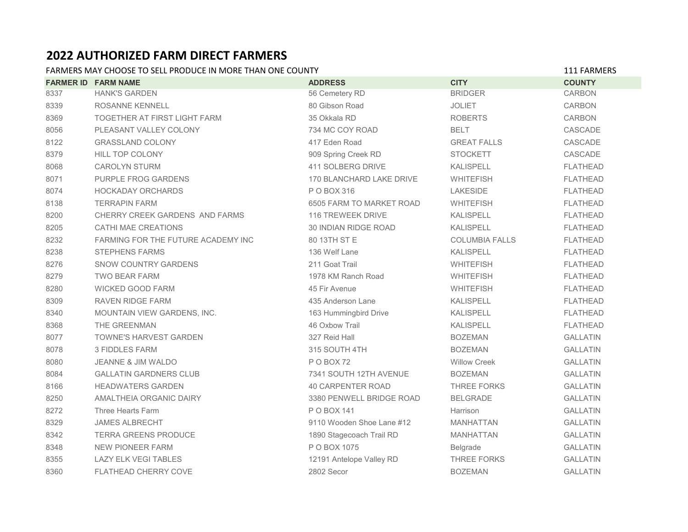## **2022 AUTHORIZED FARM DIRECT FARMERS**

## FARMERS MAY CHOOSE TO SELL PRODUCE IN MORE THAN ONE COUNTY **111 FARMERS** 111 FARMERS

|      | <b>FARMER ID FARM NAME</b>         | <b>ADDRESS</b>            | <b>CITY</b>           | <b>COUNTY</b>   |
|------|------------------------------------|---------------------------|-----------------------|-----------------|
| 8337 | <b>HANK'S GARDEN</b>               | 56 Cemetery RD            | <b>BRIDGER</b>        | <b>CARBON</b>   |
| 8339 | ROSANNE KENNELL                    | 80 Gibson Road            | <b>JOLIET</b>         | CARBON          |
| 8369 | TOGETHER AT FIRST LIGHT FARM       | 35 Okkala RD              | <b>ROBERTS</b>        | <b>CARBON</b>   |
| 8056 | PLEASANT VALLEY COLONY             | 734 MC COY ROAD           | <b>BELT</b>           | CASCADE         |
| 8122 | <b>GRASSLAND COLONY</b>            | 417 Eden Road             | <b>GREAT FALLS</b>    | CASCADE         |
| 8379 | <b>HILL TOP COLONY</b>             | 909 Spring Creek RD       | <b>STOCKETT</b>       | CASCADE         |
| 8068 | <b>CAROLYN STURM</b>               | 411 SOLBERG DRIVE         | <b>KALISPELL</b>      | <b>FLATHEAD</b> |
| 8071 | <b>PURPLE FROG GARDENS</b>         | 170 BLANCHARD LAKE DRIVE  | <b>WHITEFISH</b>      | <b>FLATHEAD</b> |
| 8074 | <b>HOCKADAY ORCHARDS</b>           | P O BOX 316               | LAKESIDE              | <b>FLATHEAD</b> |
| 8138 | <b>TERRAPIN FARM</b>               | 6505 FARM TO MARKET ROAD  | <b>WHITEFISH</b>      | <b>FLATHEAD</b> |
| 8200 | CHERRY CREEK GARDENS AND FARMS     | 116 TREWEEK DRIVE         | <b>KALISPELL</b>      | <b>FLATHEAD</b> |
| 8205 | <b>CATHI MAE CREATIONS</b>         | 30 INDIAN RIDGE ROAD      | KALISPELL             | <b>FLATHEAD</b> |
| 8232 | FARMING FOR THE FUTURE ACADEMY INC | 80 13TH ST E              | <b>COLUMBIA FALLS</b> | <b>FLATHEAD</b> |
| 8238 | <b>STEPHENS FARMS</b>              | 136 Welf Lane             | <b>KALISPELL</b>      | <b>FLATHEAD</b> |
| 8276 | <b>SNOW COUNTRY GARDENS</b>        | 211 Goat Trail            | <b>WHITEFISH</b>      | <b>FLATHEAD</b> |
| 8279 | <b>TWO BEAR FARM</b>               | 1978 KM Ranch Road        | <b>WHITEFISH</b>      | <b>FLATHEAD</b> |
| 8280 | WICKED GOOD FARM                   | 45 Fir Avenue             | <b>WHITEFISH</b>      | <b>FLATHEAD</b> |
| 8309 | <b>RAVEN RIDGE FARM</b>            | 435 Anderson Lane         | <b>KALISPELL</b>      | <b>FLATHEAD</b> |
| 8340 | MOUNTAIN VIEW GARDENS, INC.        | 163 Hummingbird Drive     | <b>KALISPELL</b>      | <b>FLATHEAD</b> |
| 8368 | THE GREENMAN                       | 46 Oxbow Trail            | <b>KALISPELL</b>      | <b>FLATHEAD</b> |
| 8077 | <b>TOWNE'S HARVEST GARDEN</b>      | 327 Reid Hall             | <b>BOZEMAN</b>        | <b>GALLATIN</b> |
| 8078 | <b>3 FIDDLES FARM</b>              | 315 SOUTH 4TH             | <b>BOZEMAN</b>        | <b>GALLATIN</b> |
| 8080 | <b>JEANNE &amp; JIM WALDO</b>      | POBOX72                   | <b>Willow Creek</b>   | <b>GALLATIN</b> |
| 8084 | <b>GALLATIN GARDNERS CLUB</b>      | 7341 SOUTH 12TH AVENUE    | <b>BOZEMAN</b>        | <b>GALLATIN</b> |
| 8166 | <b>HEADWATERS GARDEN</b>           | <b>40 CARPENTER ROAD</b>  | THREE FORKS           | <b>GALLATIN</b> |
| 8250 | AMALTHEIA ORGANIC DAIRY            | 3380 PENWELL BRIDGE ROAD  | <b>BELGRADE</b>       | <b>GALLATIN</b> |
| 8272 | Three Hearts Farm                  | P O BOX 141               | Harrison              | <b>GALLATIN</b> |
| 8329 | <b>JAMES ALBRECHT</b>              | 9110 Wooden Shoe Lane #12 | <b>MANHATTAN</b>      | <b>GALLATIN</b> |
| 8342 | <b>TERRA GREENS PRODUCE</b>        | 1890 Stagecoach Trail RD  | <b>MANHATTAN</b>      | <b>GALLATIN</b> |
| 8348 | NEW PIONEER FARM                   | P O BOX 1075              | Belgrade              | <b>GALLATIN</b> |
| 8355 | <b>LAZY ELK VEGI TABLES</b>        | 12191 Antelope Valley RD  | <b>THREE FORKS</b>    | <b>GALLATIN</b> |
| 8360 | <b>FLATHEAD CHERRY COVE</b>        | 2802 Secor                | <b>BOZEMAN</b>        | <b>GALLATIN</b> |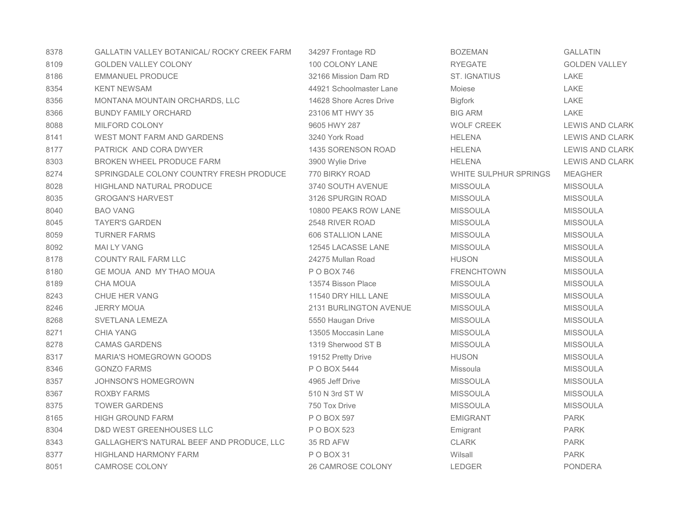| 8378 | <b>GALLATIN VALLEY BOTANICAL/ ROCKY CREEK FARM</b> | 34297 Frontage RD       | <b>BOZEMAN</b>               | <b>GALLATIN</b>        |
|------|----------------------------------------------------|-------------------------|------------------------------|------------------------|
| 8109 | <b>GOLDEN VALLEY COLONY</b>                        | 100 COLONY LANE         | <b>RYEGATE</b>               | <b>GOLDEN VALLEY</b>   |
| 8186 | <b>EMMANUEL PRODUCE</b>                            | 32166 Mission Dam RD    | <b>ST. IGNATIUS</b>          | LAKE                   |
| 8354 | <b>KENT NEWSAM</b>                                 | 44921 Schoolmaster Lane | <b>Mojese</b>                | LAKE                   |
| 8356 | MONTANA MOUNTAIN ORCHARDS, LLC                     | 14628 Shore Acres Drive | <b>Bigfork</b>               | LAKE                   |
| 8366 | <b>BUNDY FAMILY ORCHARD</b>                        | 23106 MT HWY 35         | <b>BIG ARM</b>               | LAKE                   |
| 8088 | MILFORD COLONY                                     | 9605 HWY 287            | <b>WOLF CREEK</b>            | <b>LEWIS AND CLARK</b> |
| 8141 | <b>WEST MONT FARM AND GARDENS</b>                  | 3240 York Road          | <b>HELENA</b>                | <b>LEWIS AND CLARK</b> |
| 8177 | PATRICK AND CORA DWYER                             | 1435 SORENSON ROAD      | <b>HELENA</b>                | LEWIS AND CLARK        |
| 8303 | BROKEN WHEEL PRODUCE FARM                          | 3900 Wylie Drive        | <b>HELENA</b>                | <b>LEWIS AND CLARK</b> |
| 8274 | SPRINGDALE COLONY COUNTRY FRESH PRODUCE            | 770 BIRKY ROAD          | <b>WHITE SULPHUR SPRINGS</b> | MEAGHER                |
| 8028 | <b>HIGHLAND NATURAL PRODUCE</b>                    | 3740 SOUTH AVENUE       | <b>MISSOULA</b>              | <b>MISSOULA</b>        |
| 8035 | <b>GROGAN'S HARVEST</b>                            | 3126 SPURGIN ROAD       | <b>MISSOULA</b>              | <b>MISSOULA</b>        |
| 8040 | <b>BAO VANG</b>                                    | 10800 PEAKS ROW LANE    | <b>MISSOULA</b>              | <b>MISSOULA</b>        |
| 8045 | <b>TAYER'S GARDEN</b>                              | 2548 RIVER ROAD         | <b>MISSOULA</b>              | <b>MISSOULA</b>        |
| 8059 | <b>TURNER FARMS</b>                                | 606 STALLION LANE       | <b>MISSOULA</b>              | <b>MISSOULA</b>        |
| 8092 | <b>MAI LY VANG</b>                                 | 12545 LACASSE LANE      | <b>MISSOULA</b>              | <b>MISSOULA</b>        |
| 8178 | <b>COUNTY RAIL FARM LLC</b>                        | 24275 Mullan Road       | <b>HUSON</b>                 | <b>MISSOULA</b>        |
| 8180 | GE MOUA AND MY THAO MOUA                           | P O BOX 746             | <b>FRENCHTOWN</b>            | <b>MISSOULA</b>        |
| 8189 | <b>CHA MOUA</b>                                    | 13574 Bisson Place      | <b>MISSOULA</b>              | <b>MISSOULA</b>        |
| 8243 | CHUE HER VANG                                      | 11540 DRY HILL LANE     | <b>MISSOULA</b>              | <b>MISSOULA</b>        |
| 8246 | <b>JERRY MOUA</b>                                  | 2131 BURLINGTON AVENUE  | <b>MISSOULA</b>              | <b>MISSOULA</b>        |
| 8268 | SVETLANA LEMEZA                                    | 5550 Haugan Drive       | <b>MISSOULA</b>              | <b>MISSOULA</b>        |
| 8271 | <b>CHIA YANG</b>                                   | 13505 Moccasin Lane     | <b>MISSOULA</b>              | <b>MISSOULA</b>        |
| 8278 | <b>CAMAS GARDENS</b>                               | 1319 Sherwood ST B      | <b>MISSOULA</b>              | <b>MISSOULA</b>        |
| 8317 | <b>MARIA'S HOMEGROWN GOODS</b>                     | 19152 Pretty Drive      | <b>HUSON</b>                 | <b>MISSOULA</b>        |
| 8346 | <b>GONZO FARMS</b>                                 | P O BOX 5444            | Missoula                     | <b>MISSOULA</b>        |
| 8357 | <b>JOHNSON'S HOMEGROWN</b>                         | 4965 Jeff Drive         | <b>MISSOULA</b>              | <b>MISSOULA</b>        |
| 8367 | <b>ROXBY FARMS</b>                                 | 510 N 3rd ST W          | <b>MISSOULA</b>              | <b>MISSOULA</b>        |
| 8375 | <b>TOWER GARDENS</b>                               | 750 Tox Drive           | <b>MISSOULA</b>              | <b>MISSOULA</b>        |
| 8165 | <b>HIGH GROUND FARM</b>                            | P O BOX 597             | <b>EMIGRANT</b>              | <b>PARK</b>            |
| 8304 | D&D WEST GREENHOUSES LLC                           | P O BOX 523             | Emigrant                     | <b>PARK</b>            |
| 8343 | GALLAGHER'S NATURAL BEEF AND PRODUCE, LLC          | 35 RD AFW               | <b>CLARK</b>                 | <b>PARK</b>            |
| 8377 | <b>HIGHLAND HARMONY FARM</b>                       | P O BOX 31              | Wilsall                      | <b>PARK</b>            |
| 8051 | <b>CAMROSE COLONY</b>                              | 26 CAMROSE COLONY       | <b>LEDGER</b>                | <b>PONDERA</b>         |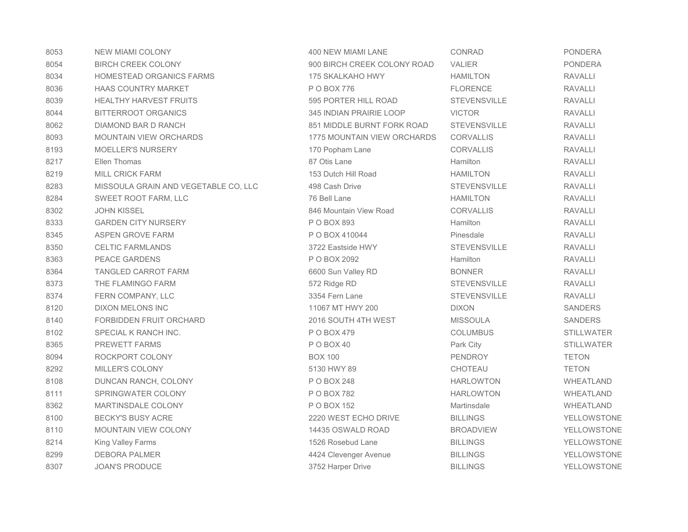| 8053 | <b>NEW MIAMI COLONY</b>              | 400 NEW MIAMI LANE                 | <b>CONRAD</b>       | <b>PONDERA</b>     |
|------|--------------------------------------|------------------------------------|---------------------|--------------------|
| 8054 | <b>BIRCH CREEK COLONY</b>            | 900 BIRCH CREEK COLONY ROAD        | <b>VALIER</b>       | <b>PONDERA</b>     |
| 8034 | <b>HOMESTEAD ORGANICS FARMS</b>      | 175 SKALKAHO HWY                   | <b>HAMILTON</b>     | <b>RAVALLI</b>     |
| 8036 | <b>HAAS COUNTRY MARKET</b>           | P O BOX 776                        | <b>FLORENCE</b>     | <b>RAVALLI</b>     |
| 8039 | <b>HEALTHY HARVEST FRUITS</b>        | 595 PORTER HILL ROAD               | <b>STEVENSVILLE</b> | <b>RAVALLI</b>     |
| 8044 | BITTERROOT ORGANICS                  | 345 INDIAN PRAIRIE LOOP            | <b>VICTOR</b>       | <b>RAVALLI</b>     |
| 8062 | DIAMOND BAR D RANCH                  | 851 MIDDLE BURNT FORK ROAD         | <b>STEVENSVILLE</b> | <b>RAVALLI</b>     |
| 8093 | <b>MOUNTAIN VIEW ORCHARDS</b>        | <b>1775 MOUNTAIN VIEW ORCHARDS</b> | <b>CORVALLIS</b>    | <b>RAVALLI</b>     |
| 8193 | <b>MOELLER'S NURSERY</b>             | 170 Popham Lane                    | CORVALLIS           | <b>RAVALLI</b>     |
| 8217 | Ellen Thomas                         | 87 Otis Lane                       | Hamilton            | <b>RAVALLI</b>     |
| 8219 | <b>MILL CRICK FARM</b>               | 153 Dutch Hill Road                | <b>HAMILTON</b>     | <b>RAVALLI</b>     |
| 8283 | MISSOULA GRAIN AND VEGETABLE CO, LLC | 498 Cash Drive                     | <b>STEVENSVILLE</b> | <b>RAVALLI</b>     |
| 8284 | SWEET ROOT FARM, LLC                 | 76 Bell Lane                       | <b>HAMILTON</b>     | <b>RAVALLI</b>     |
| 8302 | <b>JOHN KISSEL</b>                   | 846 Mountain View Road             | <b>CORVALLIS</b>    | <b>RAVALLI</b>     |
| 8333 | <b>GARDEN CITY NURSERY</b>           | P O BOX 893                        | Hamilton            | <b>RAVALLI</b>     |
| 8345 | ASPEN GROVE FARM                     | P O BOX 410044                     | Pinesdale           | <b>RAVALLI</b>     |
| 8350 | <b>CELTIC FARMLANDS</b>              | 3722 Eastside HWY                  | <b>STEVENSVILLE</b> | <b>RAVALLI</b>     |
| 8363 | <b>PEACE GARDENS</b>                 | P O BOX 2092                       | Hamilton            | <b>RAVALLI</b>     |
| 8364 | <b>TANGLED CARROT FARM</b>           | 6600 Sun Valley RD                 | <b>BONNER</b>       | <b>RAVALLI</b>     |
| 8373 | THE FLAMINGO FARM                    | 572 Ridge RD                       | <b>STEVENSVILLE</b> | <b>RAVALLI</b>     |
| 8374 | FERN COMPANY, LLC                    | 3354 Fern Lane                     | <b>STEVENSVILLE</b> | <b>RAVALLI</b>     |
| 8120 | <b>DIXON MELONS INC</b>              | 11067 MT HWY 200                   | <b>DIXON</b>        | <b>SANDERS</b>     |
| 8140 | FORBIDDEN FRUIT ORCHARD              | 2016 SOUTH 4TH WEST                | <b>MISSOULA</b>     | <b>SANDERS</b>     |
| 8102 | SPECIAL K RANCH INC.                 | P O BOX 479                        | <b>COLUMBUS</b>     | <b>STILLWATER</b>  |
| 8365 | <b>PREWETT FARMS</b>                 | POBOX40                            | Park City           | <b>STILLWATER</b>  |
| 8094 | ROCKPORT COLONY                      | <b>BOX 100</b>                     | <b>PENDROY</b>      | <b>TETON</b>       |
| 8292 | <b>MILLER'S COLONY</b>               | 5130 HWY 89                        | <b>CHOTEAU</b>      | <b>TETON</b>       |
| 8108 | DUNCAN RANCH, COLONY                 | P O BOX 248                        | <b>HARLOWTON</b>    | WHEATLAND          |
| 8111 | SPRINGWATER COLONY                   | P O BOX 782                        | <b>HARLOWTON</b>    | WHEATLAND          |
| 8362 | <b>MARTINSDALE COLONY</b>            | P O BOX 152                        | Martinsdale         | WHEATLAND          |
| 8100 | <b>BECKY'S BUSY ACRE</b>             | 2220 WEST ECHO DRIVE               | <b>BILLINGS</b>     | YELLOWSTONE        |
| 8110 | <b>MOUNTAIN VIEW COLONY</b>          | 14435 OSWALD ROAD                  | <b>BROADVIEW</b>    | <b>YELLOWSTONE</b> |
| 8214 | <b>King Valley Farms</b>             | 1526 Rosebud Lane                  | <b>BILLINGS</b>     | YELLOWSTONE        |
| 8299 | <b>DEBORA PALMER</b>                 | 4424 Clevenger Avenue              | <b>BILLINGS</b>     | YELLOWSTONE        |
| 8307 | <b>JOAN'S PRODUCE</b>                | 3752 Harper Drive                  | <b>BILLINGS</b>     | <b>YELLOWSTONE</b> |